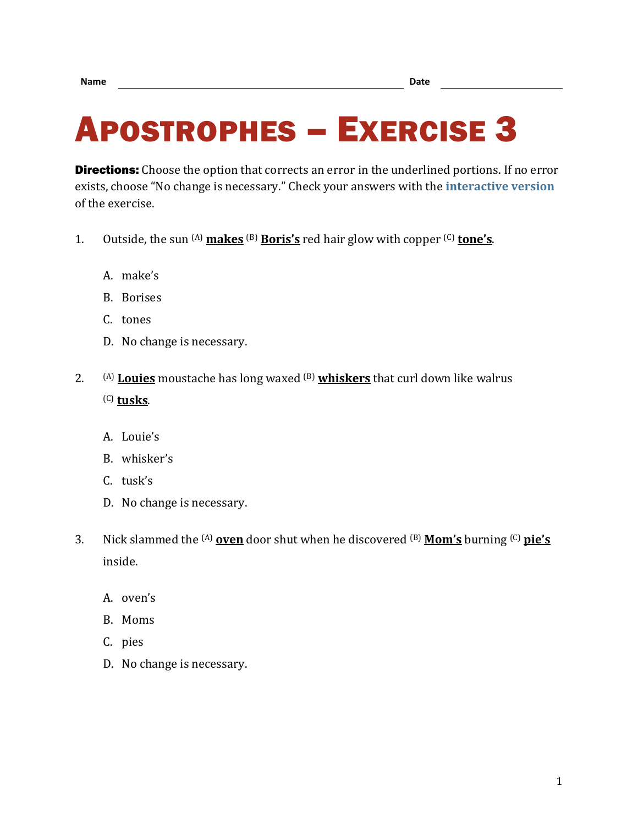## APOSTROPHES – EXERCISE 3

**Directions:** Choose the option that corrects an error in the underlined portions. If no error exists, choose "No change is necessary." Check your answers with the **[interactive version](https://chompchomp.com/hotpotatoes/apostrophes03.htm)** of the exercise.

- 1. Outside, the sun  $(A)$  makes  $(B)$  Boris's red hair glow with copper  $(C)$  tone's.
	- A. make's
	- B. Borises
	- C. tones
	- D. No change is necessary.
- 2. (A) **Louies** moustache has long waxed (B) **whiskers** that curl down like walrus (C) **tusks**.
	- A. Louie's
	- B. whisker's
	- C. tusk's
	- D. No change is necessary.
- 3. Nick slammed the (A) **oven** door shut when he discovered (B) **Mom's** burning (C) **pie's** inside.
	- A. oven's
	- B. Moms
	- C. pies
	- D. No change is necessary.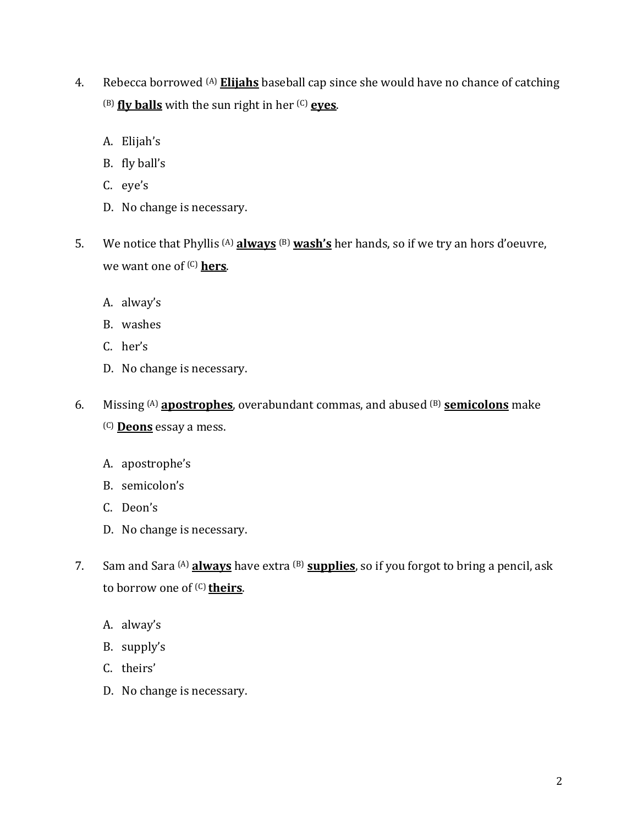- 4. Rebecca borrowed (A) **Elijahs** baseball cap since she would have no chance of catching (B) **fly balls** with the sun right in her (C) **eyes**.
	- A. Elijah's
	- B. fly ball's
	- C. eye's
	- D. No change is necessary.
- 5. We notice that Phyllis (A) **always** (B) **wash's** her hands, so if we try an hors d'oeuvre, we want one of (C) **hers**.
	- A. alway's
	- B. washes
	- C. her's
	- D. No change is necessary.
- 6. Missing (A) **apostrophes**, overabundant commas, and abused (B) **semicolons** make (C) **Deons** essay a mess.
	- A. apostrophe's
	- B. semicolon's
	- C. Deon's
	- D. No change is necessary.
- 7. Sam and Sara (A) **always** have extra (B) **supplies**, so if you forgot to bring a pencil, ask to borrow one of (C) **theirs**.
	- A. alway's
	- B. supply's
	- C. theirs'
	- D. No change is necessary.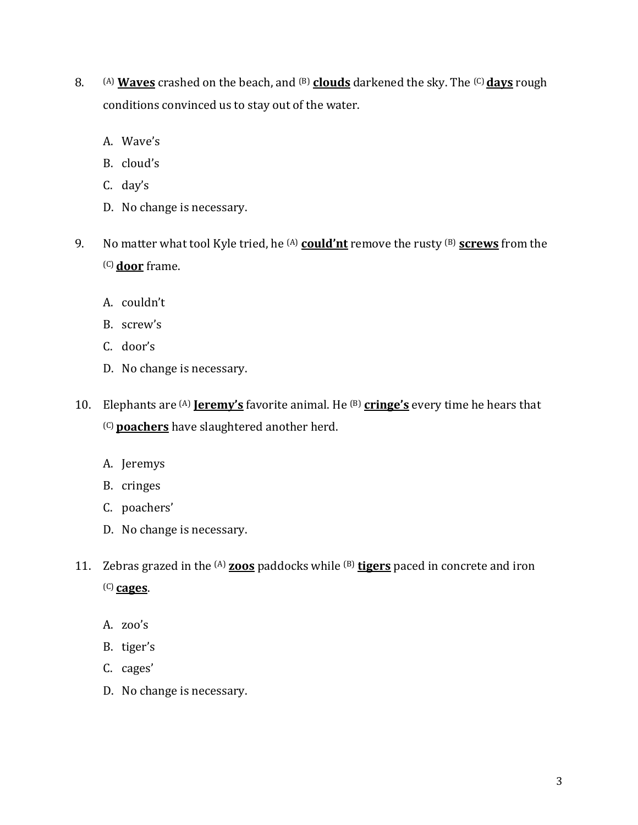- 8. (A) **Waves** crashed on the beach, and <sup>(B)</sup> clouds darkened the sky. The <sup>(C)</sup> days rough conditions convinced us to stay out of the water.
	- A. Wave's
	- B. cloud's
	- C. day's
	- D. No change is necessary.
- 9. No matter what tool Kyle tried, he (A) **could'nt** remove the rusty (B) **screws** from the (C) **door** frame.
	- A. couldn't
	- B. screw's
	- C. door's
	- D. No change is necessary.
- 10. Elephants are (A) **Jeremy's** favorite animal. He (B) **cringe's** every time he hears that (C) **poachers** have slaughtered another herd.
	- A. Jeremys
	- B. cringes
	- C. poachers'
	- D. No change is necessary.
- 11. Zebras grazed in the (A) **zoos** paddocks while (B) **tigers** paced in concrete and iron (C) **cages**.
	- A. zoo's
	- B. tiger's
	- C. cages'
	- D. No change is necessary.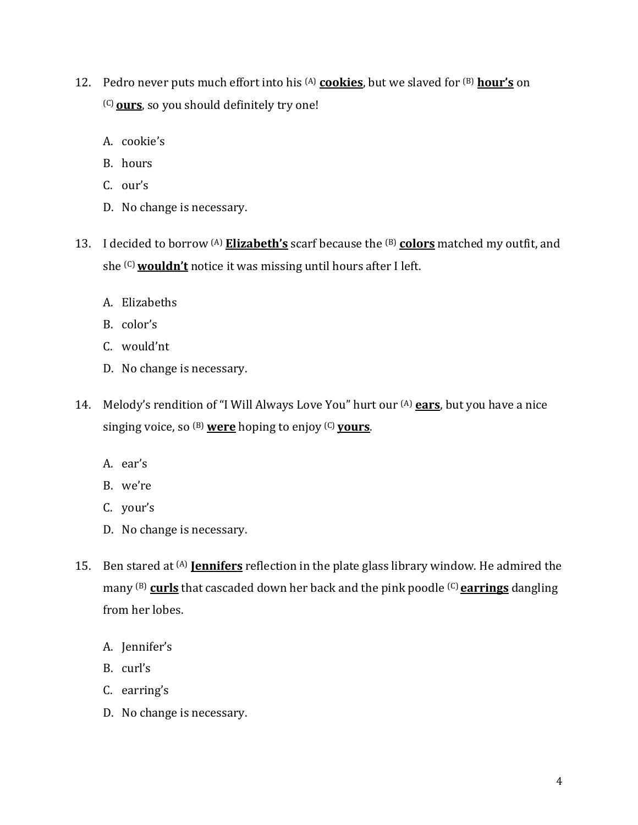- 12. Pedro never puts much effort into his (A) **cookies**, but we slaved for (B) **hour's** on (C) **ours**, so you should definitely try one!
	- A. cookie's
	- B. hours
	- C. our's
	- D. No change is necessary.
- 13. I decided to borrow (A) **Elizabeth's** scarf because the (B) **colors** matched my outfit, and she (C)**wouldn't** notice it was missing until hours after I left.
	- A. Elizabeths
	- B. color's
	- C. would'nt
	- D. No change is necessary.
- 14. Melody's rendition of "I Will Always Love You" hurt our (A) **ears**, but you have a nice singing voice, so (B) **were** hoping to enjoy (C) **yours**.
	- A. ear's
	- B. we're
	- C. your's
	- D. No change is necessary.
- 15. Ben stared at (A) **Jennifers** reflection in the plate glass library window. He admired the many (B) **curls** that cascaded down her back and the pink poodle (C) **earrings** dangling from her lobes.
	- A. Jennifer's
	- B. curl's
	- C. earring's
	- D. No change is necessary.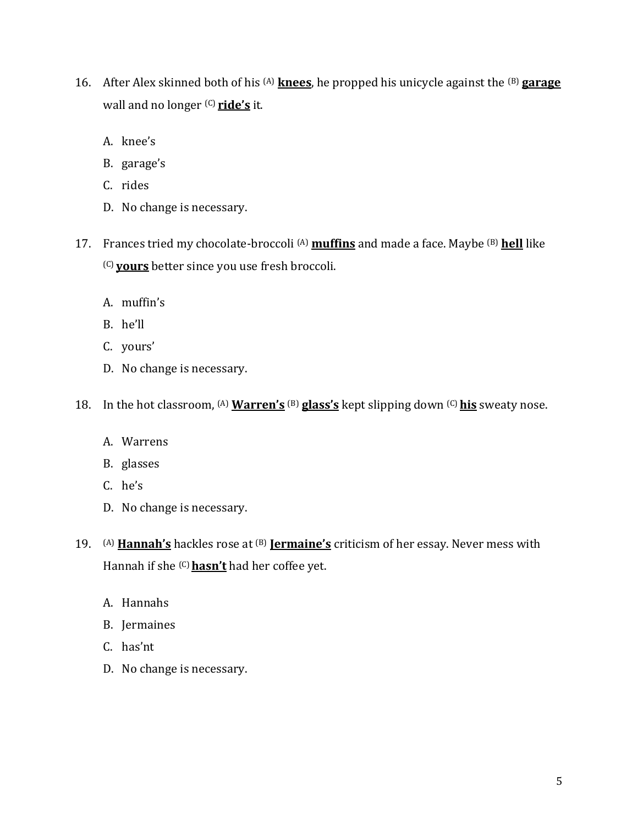- 16. After Alex skinned both of his (A) **knees**, he propped his unicycle against the (B) **garage** wall and no longer (C) **ride's** it.
	- A. knee's
	- B. garage's
	- C. rides
	- D. No change is necessary.
- 17. Frances tried my chocolate-broccoli (A) **muffins** and made a face. Maybe (B) **hell** like (C) **yours** better since you use fresh broccoli.
	- A. muffin's
	- B. he'll
	- C. yours'
	- D. No change is necessary.
- 18. In the hot classroom, <sup>(A)</sup> Warren's <sup>(B)</sup> glass's kept slipping down <sup>(C)</sup> his sweaty nose.
	- A. Warrens
	- B. glasses
	- C. he's
	- D. No change is necessary.
- 19. (A) **Hannah's** hackles rose at (B) **Jermaine's** criticism of her essay. Never mess with Hannah if she <sup>(C)</sup> hasn't had her coffee yet.
	- A. Hannahs
	- B. Jermaines
	- C. has'nt
	- D. No change is necessary.